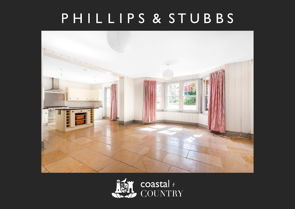# PHILLIPS & STUBBS



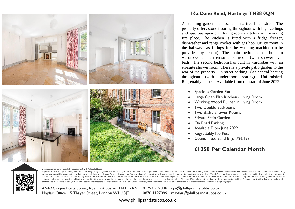

### **16a Dane Road, Hastings TN38 0QN**

A stunning garden flat located in a tree lined street. The property offers stone flooring throughout with high ceilings and spacious open plan living room / kitchen with working fire place. The kitchen is fitted with a fridge freezer, dishwasher and range cooker with gas hob. Utility room in the hallway has fittings for the washing machine (to be provided by tenant). The main bedroom has built in wardrobes and an en-suite bathroom (with shower over bath). The second bedroom has built in wardrobes with an en-suite shower room. There is a private patio garden to the rear of the property. On street parking. Gas central heating throughout (with underfloor heating). Unfurnished. Regrettably no pets. Available from the start of June 2022.

- Spacious Garden Flat
- Large Open Plan Kitchen / Living Room
- Working Wood Burner In Living Room
- Two Double Bedrooms
- Two Bath / Shower Rooms
- Private Patio Garden
- On Road Parking
- Available From June 2022
- Regrettably No Pets
- Council Tax: Band B (£1726.12)

# **£1250 Per Calendar Month**



Viewing Arrangements : Strictly by appointment with Phillips & Stubbs

Important Notice: Phillips & Stubbs, their clients and any joint agents give notice that: 1. They are not authorised to make or give any representations or warranties in relation to the property either here or elsewhere, e assume no responsibility for any statement that may be made in these particulars. These particulars do not form part of any offer or contract and must not be relied upon as statements or representations of fact. 2. These p make them accurate and reliable, if there are any points of particular importance to you please contact our office and we will make further enquiries on your behalf. Any areas, measurements or distances are approximate. Th not necessarily comprehensive. It should not be assumed that the property has all necessary planning, building regulation or other consents regarding alterations. Phillips and Stubbs have not tested any services, equipment or otherwise. All contents, fixtures, fittings and electrical appliances are expressly excluded from the sale unless specifically mentioned in the text of the sales particulars. A wide angle lens has been used in the photo

47-49 Cinque Ports Street, Rye, East Sussex TN31 7AN 01797 227338 rye@phillipsandstubbs.co.uk Mayfair Office, 15 Thayer Street, London WIU 3JT 0870 1127099 mayfair@phillipsandstubbs.co.uk

www.phillipsandstubbs.co.uk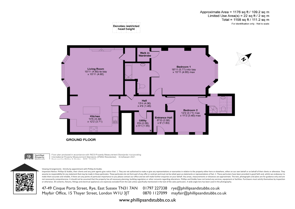Approximate Area = 1176 sq ft / 109.2 sq m Limited Use Area(s) = 22 sq ft / 2 sq m Total = 1198 sq ft / 111.2 sq m For identification only - Not to scale

**Denotes restricted** head height



Certified<br>Property  $\omega$ 

Floor plan produced in accordance with RICS Property Measurement Standards incorporating International Property Measurement Standards (IPMS2 Residential). © nichecom 2021.

Viewing Arrangements : Strictly by appointment with Phillips & Stubbs

Important Notice: Phillips & Stubbs, their clients and any joint agents give notice that: 1. They are not authorised to make or give any representations or warranties in relation to the property either here or elsewhere, e assume no responsibility for any statement that may be made in these particulars. These particulars do not form part of any offer or contract and must not be relied upon as statements or representations of fact. 2. These p make them accurate and reliable, if there are any points of particular importance to you please contact our office and we will make further enquiries on your behalf. Any areas, measurements or distances are approximate. Th not necessarily comprehensive. It should not be assumed that the property has all necessary planning, building regulation or other consents regarding alterations. Phillips and Stubbs have not tested any services, equipment or otherwise. All contents, fixtures, fittings and electrical appliances are expressly excluded from the sale unless specifically mentioned in the text of the sales particulars. A wide angle lens has been used in the photo



47-49 Cinque Ports Street, Rye, East Sussex TN31 7AN 01797 227338 rye@phillipsandstubbs.co.uk Mayfair Office, 15 Thayer Street, London WIU 3JT 0870 1127099 mayfair@phillipsandstubbs.co.uk

www.phillipsandstubbs.co.uk